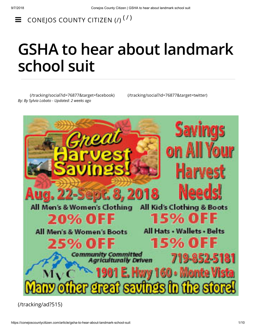$\equiv$  conejos county citizen ([/](https://conejoscountycitizen.com/))<sup>(/)</sup>

# **GSHA to hear about landmark school suit**

[\(/tracking/social?id=76877&target=facebook\)](https://conejoscountycitizen.com/tracking/social?id=76877&target=facebook) [\(/tracking/social?id=76877&target=twitter\)](https://conejoscountycitizen.com/tracking/social?id=76877&target=twitter) *By: By Sylvia Lobato - Updated: 2 weeks ago*



[\(/tracking/ad?515\)](https://conejoscountycitizen.com/tracking/ad?515)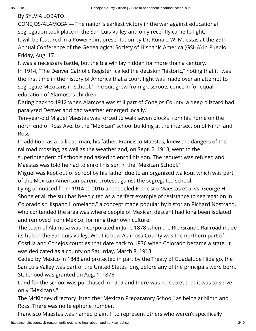### By SYLVIA LOBATO

CONEJOS/ALAMOSA — The nation's earliest victory in the war against educational segregation took place in the San Luis Valley and only recently came to light. It will be featured in a PowerPoint presentation by Dr. Ronald W. Maestas at the 29th Annual Conference of the Genealogical Society of Hispanic America (GSHA) in Pueblo Friday, Aug. 17.

It was a necessary battle, but the big win lay hidden for more than a century. In 1914, "The Denver Catholic Register" called the decision "historic," noting that it "was the first time in the history of America that a court fight was made over an attempt to segregate Mexicans in school." The suit grew from grassroots concern for equal education of Alamosa's children.

Dating back to 1912 when Alamosa was still part of Conejos County, a deep blizzard had paralyzed Denver and bad weather emerged locally.

Ten-year-old Miguel Maestas was forced to walk seven blocks from his home on the north end of Ross Ave. to the "Mexican" school building at the intersection of Ninth and Ross.

In addition, as a railroad man, his father, Francisco Maestas, knew the dangers of the railroad crossing, as well as the weather and, on Sept. 2, 1913, went to the superintendent of schools and asked to enroll his son. The request was refused and Maestas was told he had to enroll his son in the "Mexican School."

Miguel was kept out of school by his father due to an organized walkout which was part of the Mexican American parent protest against the segregated school.

Lying unnoticed from 1914 to 2016 and labeled Francisco Maestas et al vs. George H. Shone et al, the suit has been cited as a perfect example of resistance to segregation in Colorado's "Hispano Homeland," a concept made popular by historian Richard Nostrand, who contended the area was where people of Mexican descent had long been isolated and removed from Mexico, forming their own culture.

The town of Alamosa was incorporated in June 1878 when the Rio Grande Railroad made its hub in the San Luis Valley. What is now Alamosa County was the northern part of Costilla and Conejos counties that date back to 1876 when Colorado became a state. It was dedicated as a county on Saturday, March 8, 1913.

Ceded by Mexico in 1848 and protected in part by the Treaty of Guadalupe Hidalgo, the San Luis Valley was part of the United States long before any of the principals were born. Statehood was granted on Aug. 1, 1876.

Land for the school was purchased in 1909 and there was no secret that it was to serve only "Mexicans."

The McKinney directory listed the "Mexican Preparatory School" as being at Ninth and Ross. There was no telephone number.

Francisco Maestas was named plaintiff to represent others who weren't specifically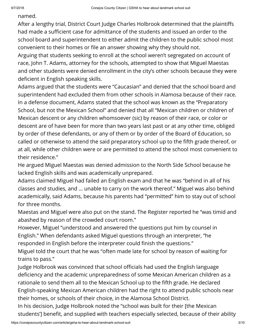named.

After a lengthy trial, District Court Judge Charles Holbrook determined that the plaintiffs had made a sufficient case for admittance of the students and issued an order to the school board and superintendent to either admit the children to the public school most convenient to their homes or file an answer showing why they should not.

Arguing that students seeking to enroll at the school weren't segregated on account of race, John T. Adams, attorney for the schools, attempted to show that Miguel Maestas and other students were denied enrollment in the city's other schools because they were deficient in English speaking skills.

Adams argued that the students were "Caucasian" and denied that the school board and superintendent had excluded them from other schools in Alamosa because of their race. In a defense document, Adams stated that the school was known as the "Preparatory School, but not the Mexican School" and denied that all "Mexican children or children of Mexican descent or any children whomsoever (sic) by reason of their race, or color or descent are of have been for more than two years last past or at any other time, obliged by order of these defendants, or any of them or by order of the Board of Education, so called or otherwise to attend the said preparatory school up to the fifth grade thereof, or at all, while other children were or are permitted to attend the school most convenient to their residence."

He argued Miguel Maestas was denied admission to the North Side School because he lacked English skills and was academically unprepared.

Adams claimed Miguel had failed an English exam and that he was "behind in all of his classes and studies, and … unable to carry on the work thereof." Miguel was also behind academically, said Adams, because his parents had "permitted" him to stay out of school for three months.

Maestas and Miguel were also put on the stand. The Register reported he "was timid and abashed by reason of the crowded court room."

However, Miguel "understood and answered the questions put him by counsel in English." When defendants asked Miguel questions through an interpreter, "he responded in English before the interpreter could finish the questions."

Miguel told the court that he was "often made late for school by reason of waiting for trains to pass."

Judge Holbrook was convinced that school officials had used the English language deficiency and the academic unpreparedness of some Mexican American children as a rationale to send them all to the Mexican School up to the fifth grade. He declared English-speaking Mexican American children had the right to attend public schools near their homes, or schools of their choice, in the Alamosa School District.

In his decision, Judge Holbrook noted the "school was built for their [the Mexican students'] benefit, and supplied with teachers especially selected, because of their ability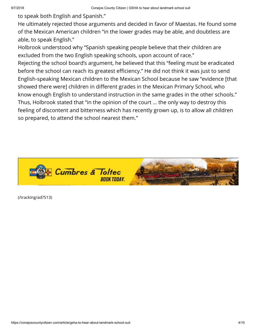to speak both English and Spanish."

He ultimately rejected those arguments and decided in favor of Maestas. He found some of the Mexican American children "in the lower grades may be able, and doubtless are able, to speak English."

Holbrook understood why "Spanish speaking people believe that their children are excluded from the two English speaking schools, upon account of race."

Rejecting the school board's argument, he believed that this "feeling must be eradicated before the school can reach its greatest efficiency." He did not think it was just to send English-speaking Mexican children to the Mexican School because he saw "evidence [that showed there were] children in different grades in the Mexican Primary School, who know enough English to understand instruction in the same grades in the other schools." Thus, Holbrook stated that "in the opinion of the court … the only way to destroy this feeling of discontent and bitterness which has recently grown up, is to allow all children so prepared, to attend the school nearest them."



[\(/tracking/ad?513\)](https://conejoscountycitizen.com/tracking/ad?513)